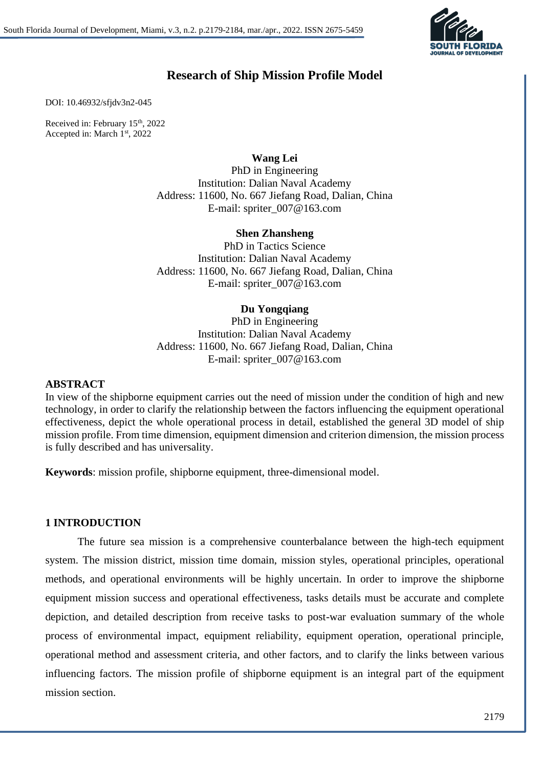

# **Research of Ship Mission Profile Model**

DOI: 10.46932/sfjdv3n2-045

Received in: February 15<sup>th</sup>, 2022 Accepted in: March 1<sup>st</sup>, 2022

### **Wang Lei**

PhD in Engineering Institution: Dalian Naval Academy Address: 11600, No. 667 Jiefang Road, Dalian, China E-mail: spriter\_007@163.com

### **Shen Zhansheng**

PhD in Tactics Science Institution: Dalian Naval Academy Address: 11600, No. 667 Jiefang Road, Dalian, China E-mail: spriter\_007@163.com

### **Du Yongqiang**

PhD in Engineering Institution: Dalian Naval Academy Address: 11600, No. 667 Jiefang Road, Dalian, China E-mail: spriter\_007@163.com

#### **ABSTRACT**

In view of the shipborne equipment carries out the need of mission under the condition of high and new technology, in order to clarify the relationship between the factors influencing the equipment operational effectiveness, depict the whole operational process in detail, established the general 3D model of ship mission profile. From time dimension, equipment dimension and criterion dimension, the mission process is fully described and has universality.

**Keywords**: mission profile, shipborne equipment, three-dimensional model.

### **1 INTRODUCTION**

The future sea mission is a comprehensive counterbalance between the high-tech equipment system. The mission district, mission time domain, mission styles, operational principles, operational methods, and operational environments will be highly uncertain. In order to improve the shipborne equipment mission success and operational effectiveness, tasks details must be accurate and complete depiction, and detailed description from receive tasks to post-war evaluation summary of the whole process of environmental impact, equipment reliability, equipment operation, operational principle, operational method and assessment criteria, and other factors, and to clarify the links between various influencing factors. The mission profile of shipborne equipment is an integral part of the equipment mission section.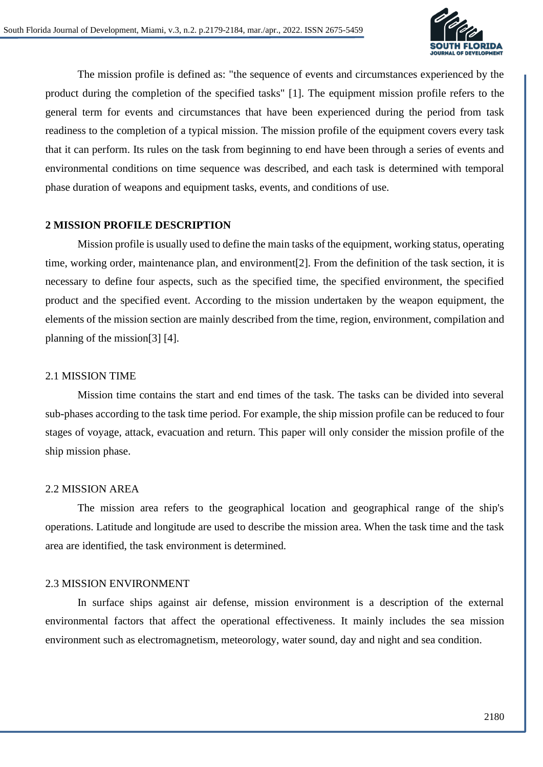

The mission profile is defined as: "the sequence of events and circumstances experienced by the product during the completion of the specified tasks" [1]. The equipment mission profile refers to the general term for events and circumstances that have been experienced during the period from task readiness to the completion of a typical mission. The mission profile of the equipment covers every task that it can perform. Its rules on the task from beginning to end have been through a series of events and environmental conditions on time sequence was described, and each task is determined with temporal phase duration of weapons and equipment tasks, events, and conditions of use.

### **2 MISSION PROFILE DESCRIPTION**

Mission profile is usually used to define the main tasks of the equipment, working status, operating time, working order, maintenance plan, and environment[2]. From the definition of the task section, it is necessary to define four aspects, such as the specified time, the specified environment, the specified product and the specified event. According to the mission undertaken by the weapon equipment, the elements of the mission section are mainly described from the time, region, environment, compilation and planning of the mission[3] [4].

#### 2.1 MISSION TIME

Mission time contains the start and end times of the task. The tasks can be divided into several sub-phases according to the task time period. For example, the ship mission profile can be reduced to four stages of voyage, attack, evacuation and return. This paper will only consider the mission profile of the ship mission phase.

### 2.2 MISSION AREA

The mission area refers to the geographical location and geographical range of the ship's operations. Latitude and longitude are used to describe the mission area. When the task time and the task area are identified, the task environment is determined.

#### 2.3 MISSION ENVIRONMENT

In surface ships against air defense, mission environment is a description of the external environmental factors that affect the operational effectiveness. It mainly includes the sea mission environment such as electromagnetism, meteorology, water sound, day and night and sea condition.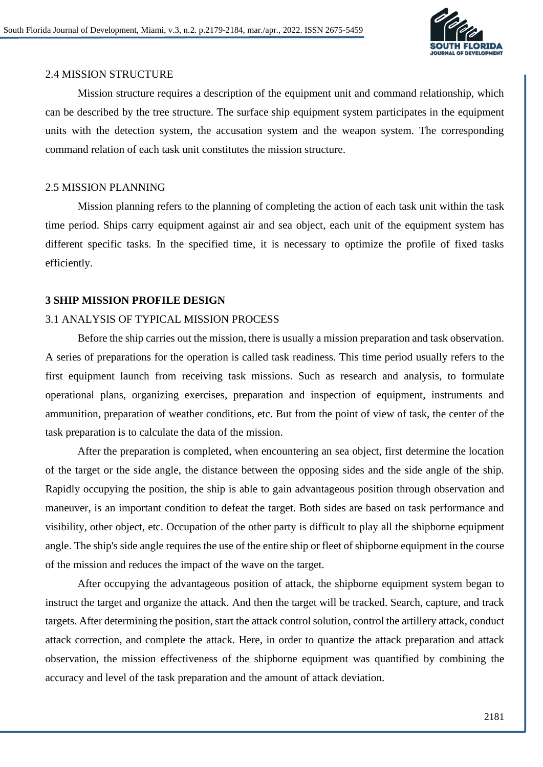

### 2.4 MISSION STRUCTURE

Mission structure requires a description of the equipment unit and command relationship, which can be described by the tree structure. The surface ship equipment system participates in the equipment units with the detection system, the accusation system and the weapon system. The corresponding command relation of each task unit constitutes the mission structure.

### 2.5 MISSION PLANNING

Mission planning refers to the planning of completing the action of each task unit within the task time period. Ships carry equipment against air and sea object, each unit of the equipment system has different specific tasks. In the specified time, it is necessary to optimize the profile of fixed tasks efficiently.

### **3 SHIP MISSION PROFILE DESIGN**

### 3.1 ANALYSIS OF TYPICAL MISSION PROCESS

Before the ship carries out the mission, there is usually a mission preparation and task observation. A series of preparations for the operation is called task readiness. This time period usually refers to the first equipment launch from receiving task missions. Such as research and analysis, to formulate operational plans, organizing exercises, preparation and inspection of equipment, instruments and ammunition, preparation of weather conditions, etc. But from the point of view of task, the center of the task preparation is to calculate the data of the mission.

After the preparation is completed, when encountering an sea object, first determine the location of the target or the side angle, the distance between the opposing sides and the side angle of the ship. Rapidly occupying the position, the ship is able to gain advantageous position through observation and maneuver, is an important condition to defeat the target. Both sides are based on task performance and visibility, other object, etc. Occupation of the other party is difficult to play all the shipborne equipment angle. The ship's side angle requires the use of the entire ship or fleet of shipborne equipment in the course of the mission and reduces the impact of the wave on the target.

After occupying the advantageous position of attack, the shipborne equipment system began to instruct the target and organize the attack. And then the target will be tracked. Search, capture, and track targets. After determining the position, start the attack control solution, control the artillery attack, conduct attack correction, and complete the attack. Here, in order to quantize the attack preparation and attack observation, the mission effectiveness of the shipborne equipment was quantified by combining the accuracy and level of the task preparation and the amount of attack deviation.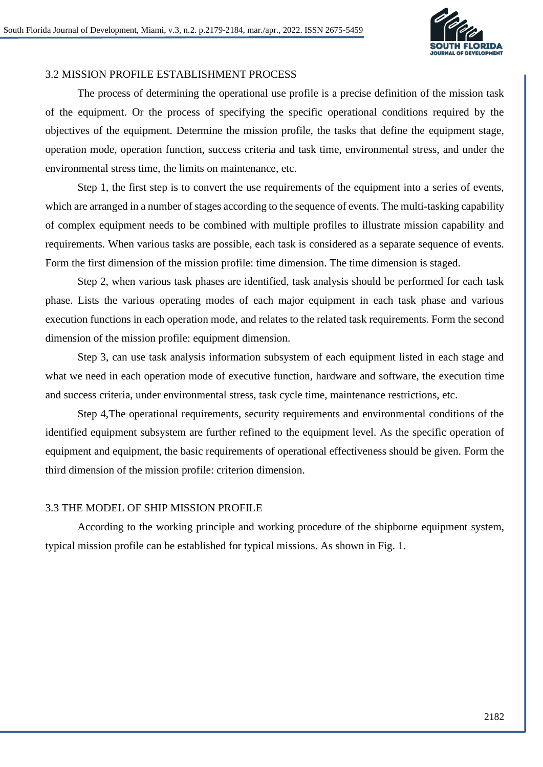

# 3.2 MISSION PROFILE ESTABLISHMENT PROCESS

The process of determining the operational use profile is a precise definition of the mission task of the equipment. Or the process of specifying the specific operational conditions required by the objectives of the equipment. Determine the mission profile, the tasks that define the equipment stage, operation mode, operation function, success criteria and task time, environmental stress, and under the environmental stress time, the limits on maintenance, etc.

Step 1, the first step is to convert the use requirements of the equipment into a series of events, which are arranged in a number of stages according to the sequence of events. The multi-tasking capability of complex equipment needs to be combined with multiple profiles to illustrate mission capability and requirements. When various tasks are possible, each task is considered as a separate sequence of events. Form the first dimension of the mission profile: time dimension. The time dimension is staged.

Step 2, when various task phases are identified, task analysis should be performed for each task phase. Lists the various operating modes of each major equipment in each task phase and various execution functions in each operation mode, and relates to the related task requirements. Form the second dimension of the mission profile: equipment dimension.

Step 3, can use task analysis information subsystem of each equipment listed in each stage and what we need in each operation mode of executive function, hardware and software, the execution time and success criteria, under environmental stress, task cycle time, maintenance restrictions, etc.

Step 4,The operational requirements, security requirements and environmental conditions of the identified equipment subsystem are further refined to the equipment level. As the specific operation of equipment and equipment, the basic requirements of operational effectiveness should be given. Form the third dimension of the mission profile: criterion dimension.

# 3.3 THE MODEL OF SHIP MISSION PROFILE

According to the working principle and working procedure of the shipborne equipment system, typical mission profile can be established for typical missions. As shown in Fig. 1.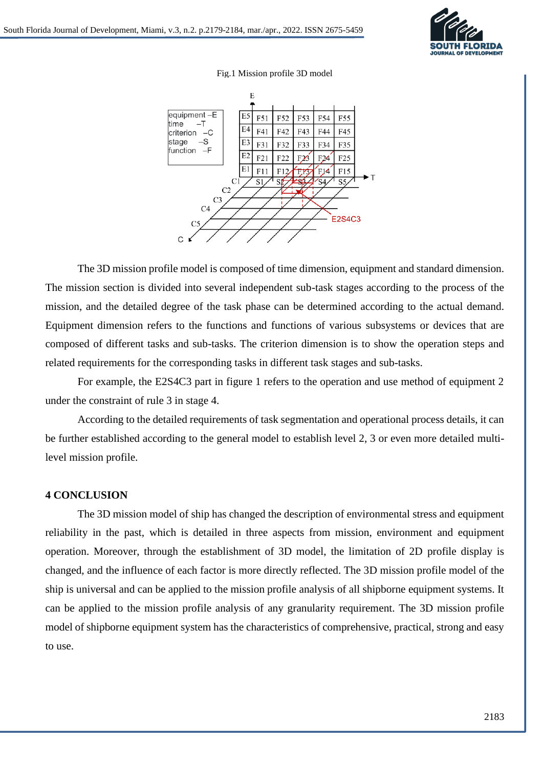

Fig.1 Mission profile 3D model



The 3D mission profile model is composed of time dimension, equipment and standard dimension. The mission section is divided into several independent sub-task stages according to the process of the mission, and the detailed degree of the task phase can be determined according to the actual demand. Equipment dimension refers to the functions and functions of various subsystems or devices that are composed of different tasks and sub-tasks. The criterion dimension is to show the operation steps and related requirements for the corresponding tasks in different task stages and sub-tasks.

For example, the E2S4C3 part in figure 1 refers to the operation and use method of equipment 2 under the constraint of rule 3 in stage 4.

According to the detailed requirements of task segmentation and operational process details, it can be further established according to the general model to establish level 2, 3 or even more detailed multilevel mission profile.

### **4 CONCLUSION**

The 3D mission model of ship has changed the description of environmental stress and equipment reliability in the past, which is detailed in three aspects from mission, environment and equipment operation. Moreover, through the establishment of 3D model, the limitation of 2D profile display is changed, and the influence of each factor is more directly reflected. The 3D mission profile model of the ship is universal and can be applied to the mission profile analysis of all shipborne equipment systems. It can be applied to the mission profile analysis of any granularity requirement. The 3D mission profile model of shipborne equipment system has the characteristics of comprehensive, practical, strong and easy to use.